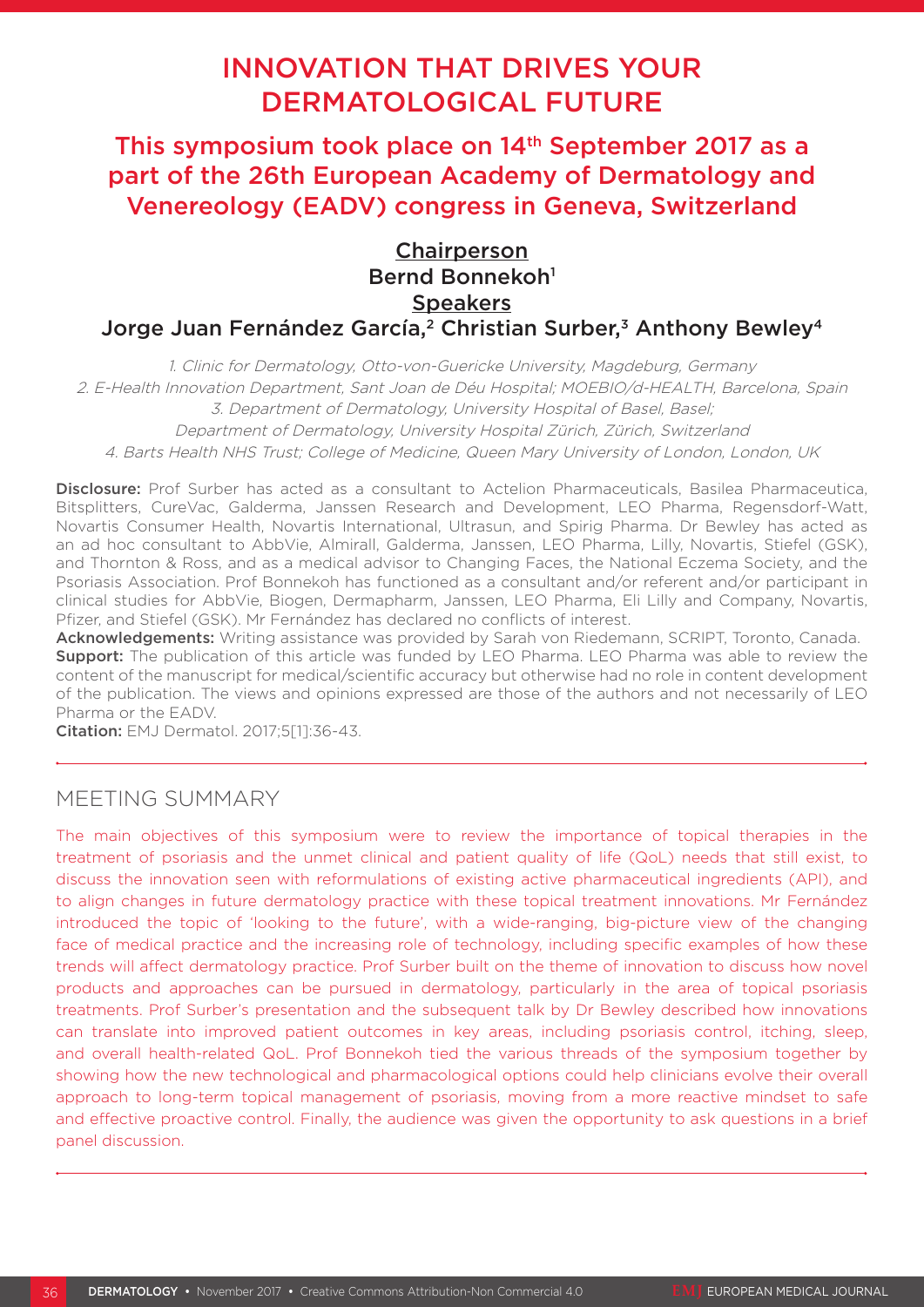# INNOVATION THAT DRIVES YOUR DERMATOLOGICAL FUTURE

This symposium took place on 14<sup>th</sup> September 2017 as a part of the 26th European Academy of Dermatology and Venereology (EADV) congress in Geneva, Switzerland

## **Chairperson** Bernd Bonnekoh<sup>1</sup> **Speakers** Jorge Juan Fernández García,<sup>2</sup> Christian Surber,<sup>3</sup> Anthony Bewley<sup>4</sup>

1. Clinic for Dermatology, Otto-von-Guericke University, Magdeburg, Germany 2. E-Health Innovation Department, Sant Joan de Déu Hospital; MOEBIO/d-HEALTH, Barcelona, Spain 3. Department of Dermatology, University Hospital of Basel, Basel; Department of Dermatology, University Hospital Zürich, Zürich, Switzerland 4. Barts Health NHS Trust; College of Medicine, Queen Mary University of London, London, UK

Disclosure: Prof Surber has acted as a consultant to Actelion Pharmaceuticals, Basilea Pharmaceutica, Bitsplitters, CureVac, Galderma, Janssen Research and Development, LEO Pharma, Regensdorf-Watt, Novartis Consumer Health, Novartis International, Ultrasun, and Spirig Pharma. Dr Bewley has acted as an ad hoc consultant to AbbVie, Almirall, Galderma, Janssen, LEO Pharma, Lilly, Novartis, Stiefel (GSK), and Thornton & Ross, and as a medical advisor to Changing Faces, the National Eczema Society, and the Psoriasis Association. Prof Bonnekoh has functioned as a consultant and/or referent and/or participant in clinical studies for AbbVie, Biogen, Dermapharm, Janssen, LEO Pharma, Eli Lilly and Company, Novartis, Pfizer, and Stiefel (GSK). Mr Fernández has declared no conflicts of interest.

Acknowledgements: Writing assistance was provided by Sarah von Riedemann, SCRIPT, Toronto, Canada. **Support:** The publication of this article was funded by LEO Pharma. LEO Pharma was able to review the content of the manuscript for medical/scientific accuracy but otherwise had no role in content development of the publication. The views and opinions expressed are those of the authors and not necessarily of LEO Pharma or the EADV.

Citation: EMJ Dermatol. 2017;5[1]:36-43.

## MEETING SUMMARY

The main objectives of this symposium were to review the importance of topical therapies in the treatment of psoriasis and the unmet clinical and patient quality of life (QoL) needs that still exist, to discuss the innovation seen with reformulations of existing active pharmaceutical ingredients (API), and to align changes in future dermatology practice with these topical treatment innovations. Mr Fernández introduced the topic of 'looking to the future', with a wide-ranging, big-picture view of the changing face of medical practice and the increasing role of technology, including specific examples of how these trends will affect dermatology practice. Prof Surber built on the theme of innovation to discuss how novel products and approaches can be pursued in dermatology, particularly in the area of topical psoriasis treatments. Prof Surber's presentation and the subsequent talk by Dr Bewley described how innovations can translate into improved patient outcomes in key areas, including psoriasis control, itching, sleep, and overall health-related QoL. Prof Bonnekoh tied the various threads of the symposium together by showing how the new technological and pharmacological options could help clinicians evolve their overall approach to long-term topical management of psoriasis, moving from a more reactive mindset to safe and effective proactive control. Finally, the audience was given the opportunity to ask questions in a brief panel discussion.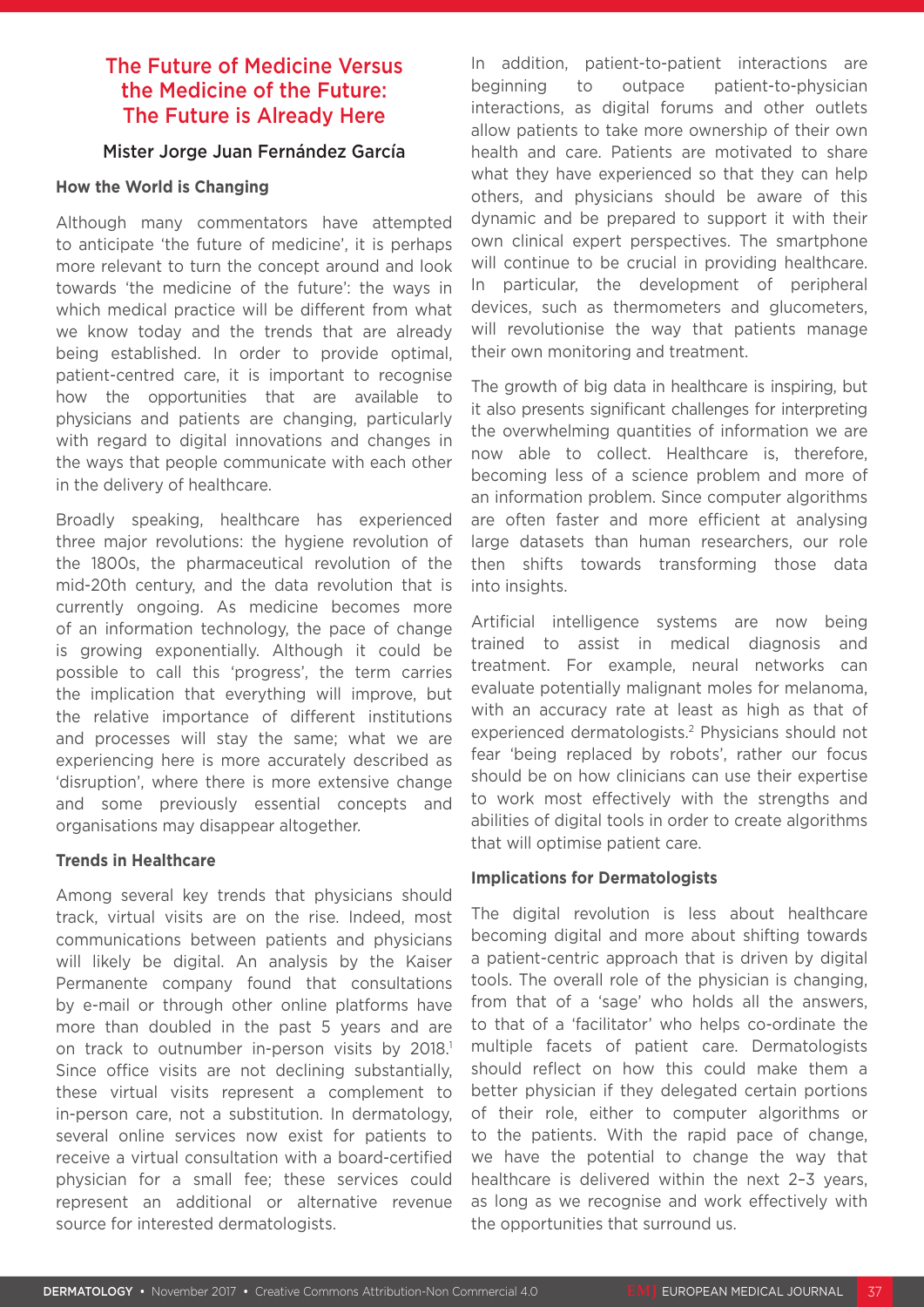### The Future of Medicine Versus the Medicine of the Future: The Future is Already Here

### Mister Jorge Juan Fernández García

### **How the World is Changing**

Although many commentators have attempted to anticipate 'the future of medicine', it is perhaps more relevant to turn the concept around and look towards 'the medicine of the future': the ways in which medical practice will be different from what we know today and the trends that are already being established. In order to provide optimal, patient-centred care, it is important to recognise how the opportunities that are available to physicians and patients are changing, particularly with regard to digital innovations and changes in the ways that people communicate with each other in the delivery of healthcare.

Broadly speaking, healthcare has experienced three major revolutions: the hygiene revolution of the 1800s, the pharmaceutical revolution of the mid-20th century, and the data revolution that is currently ongoing. As medicine becomes more of an information technology, the pace of change is growing exponentially. Although it could be possible to call this 'progress', the term carries the implication that everything will improve, but the relative importance of different institutions and processes will stay the same; what we are experiencing here is more accurately described as 'disruption', where there is more extensive change and some previously essential concepts and organisations may disappear altogether.

### **Trends in Healthcare**

Among several key trends that physicians should track, virtual visits are on the rise. Indeed, most communications between patients and physicians will likely be digital. An analysis by the Kaiser Permanente company found that consultations by e-mail or through other online platforms have more than doubled in the past 5 years and are on track to outnumber in-person visits by 2018.<sup>1</sup> Since office visits are not declining substantially, these virtual visits represent a complement to in-person care, not a substitution. In dermatology, several online services now exist for patients to receive a virtual consultation with a board-certified physician for a small fee; these services could represent an additional or alternative revenue source for interested dermatologists.

In addition, patient-to-patient interactions are beginning to outpace patient-to-physician interactions, as digital forums and other outlets allow patients to take more ownership of their own health and care. Patients are motivated to share what they have experienced so that they can help others, and physicians should be aware of this dynamic and be prepared to support it with their own clinical expert perspectives. The smartphone will continue to be crucial in providing healthcare. In particular, the development of peripheral devices, such as thermometers and glucometers, will revolutionise the way that patients manage their own monitoring and treatment.

The growth of big data in healthcare is inspiring, but it also presents significant challenges for interpreting the overwhelming quantities of information we are now able to collect. Healthcare is, therefore, becoming less of a science problem and more of an information problem. Since computer algorithms are often faster and more efficient at analysing large datasets than human researchers, our role then shifts towards transforming those data into insights.

Artificial intelligence systems are now being trained to assist in medical diagnosis and treatment. For example, neural networks can evaluate potentially malignant moles for melanoma, with an accuracy rate at least as high as that of experienced dermatologists.2 Physicians should not fear 'being replaced by robots', rather our focus should be on how clinicians can use their expertise to work most effectively with the strengths and abilities of digital tools in order to create algorithms that will optimise patient care.

### **Implications for Dermatologists**

The digital revolution is less about healthcare becoming digital and more about shifting towards a patient-centric approach that is driven by digital tools. The overall role of the physician is changing, from that of a 'sage' who holds all the answers, to that of a 'facilitator' who helps co-ordinate the multiple facets of patient care. Dermatologists should reflect on how this could make them a better physician if they delegated certain portions of their role, either to computer algorithms or to the patients. With the rapid pace of change, we have the potential to change the way that healthcare is delivered within the next 2–3 years, as long as we recognise and work effectively with the opportunities that surround us.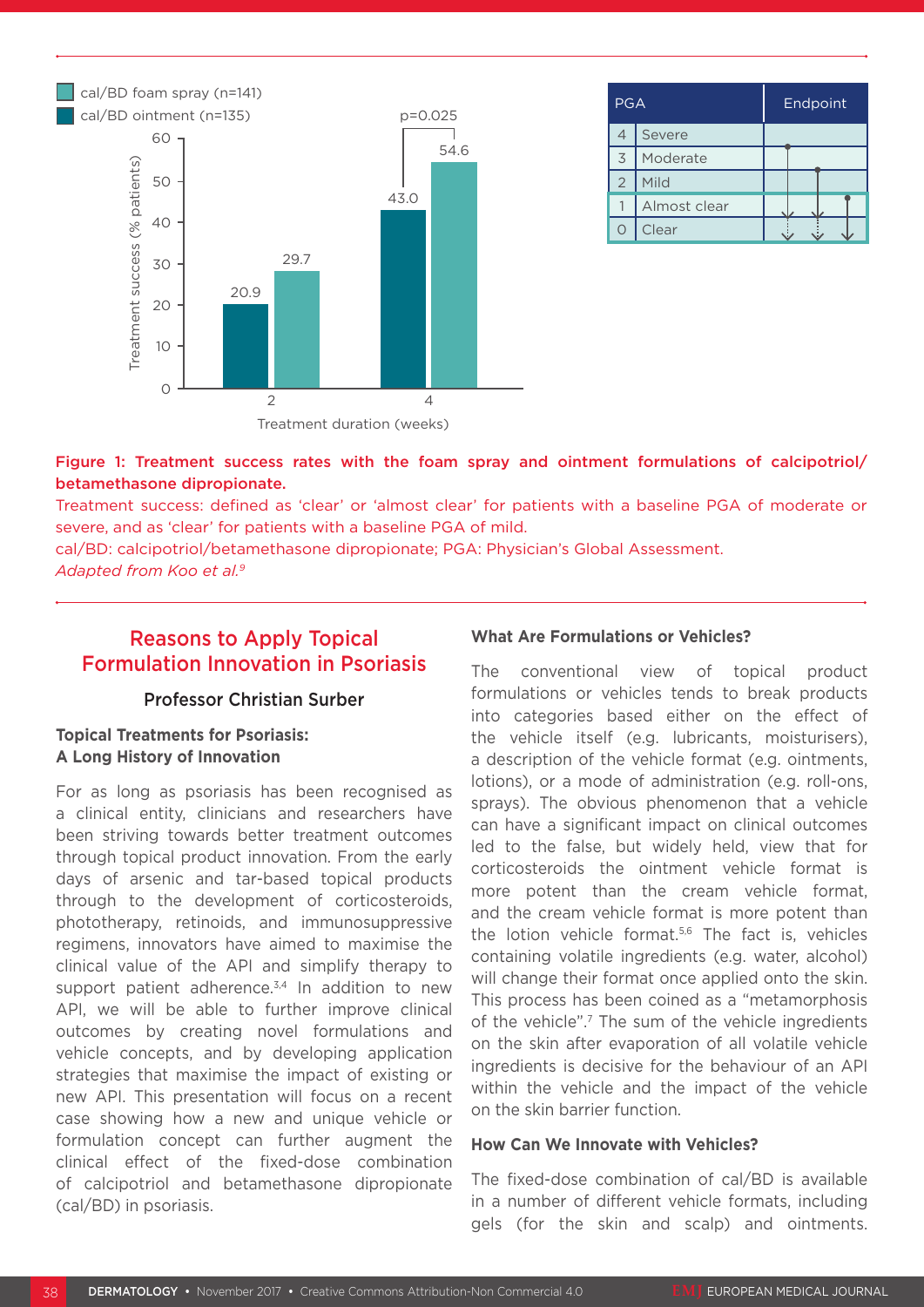

| PGA            |              | Endpoint |  |  |  |  |  |
|----------------|--------------|----------|--|--|--|--|--|
| $\overline{4}$ | Severe       |          |  |  |  |  |  |
| $\overline{3}$ | Moderate     |          |  |  |  |  |  |
| $\overline{2}$ | Mild         |          |  |  |  |  |  |
|                | Almost clear |          |  |  |  |  |  |
|                | Clear        |          |  |  |  |  |  |

### Figure 1: Treatment success rates with the foam spray and ointment formulations of calcipotriol/ betamethasone dipropionate.

Treatment success: defined as 'clear' or 'almost clear' for patients with a baseline PGA of moderate or severe, and as 'clear' for patients with a baseline PGA of mild.

cal/BD: calcipotriol/betamethasone dipropionate; PGA: Physician's Global Assessment. *Adapted from Koo et al.9*

## Reasons to Apply Topical Formulation Innovation in Psoriasis

### Professor Christian Surber

### **Topical Treatments for Psoriasis: A Long History of Innovation**

For as long as psoriasis has been recognised as a clinical entity, clinicians and researchers have been striving towards better treatment outcomes through topical product innovation. From the early days of arsenic and tar-based topical products through to the development of corticosteroids, phototherapy, retinoids, and immunosuppressive regimens, innovators have aimed to maximise the clinical value of the API and simplify therapy to support patient adherence. $3,4$  In addition to new API, we will be able to further improve clinical outcomes by creating novel formulations and vehicle concepts, and by developing application strategies that maximise the impact of existing or new API. This presentation will focus on a recent case showing how a new and unique vehicle or formulation concept can further augment the clinical effect of the fixed-dose combination of calcipotriol and betamethasone dipropionate (cal/BD) in psoriasis.

### **What Are Formulations or Vehicles?**

The conventional view of topical product formulations or vehicles tends to break products into categories based either on the effect of the vehicle itself (e.g. lubricants, moisturisers), a description of the vehicle format (e.g. ointments, lotions), or a mode of administration (e.g. roll-ons, sprays). The obvious phenomenon that a vehicle can have a significant impact on clinical outcomes led to the false, but widely held, view that for corticosteroids the ointment vehicle format is more potent than the cream vehicle format, and the cream vehicle format is more potent than the lotion vehicle format.<sup>5,6</sup> The fact is, vehicles containing volatile ingredients (e.g. water, alcohol) will change their format once applied onto the skin. This process has been coined as a "metamorphosis of the vehicle".7 The sum of the vehicle ingredients on the skin after evaporation of all volatile vehicle ingredients is decisive for the behaviour of an API within the vehicle and the impact of the vehicle on the skin barrier function.

#### **How Can We Innovate with Vehicles?**

The fixed-dose combination of cal/BD is available in a number of different vehicle formats, including gels (for the skin and scalp) and ointments.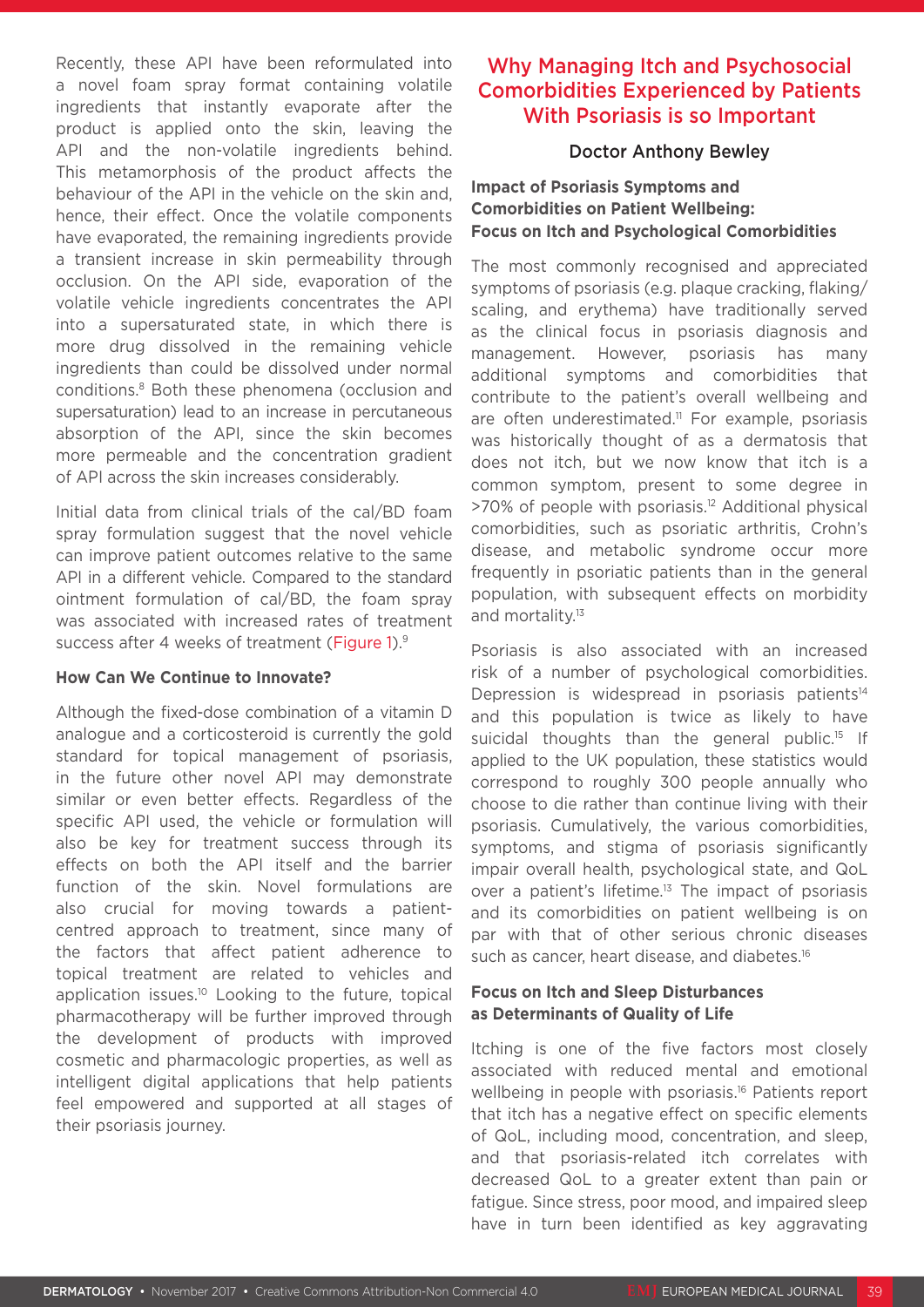Recently, these API have been reformulated into a novel foam spray format containing volatile ingredients that instantly evaporate after the product is applied onto the skin, leaving the API and the non-volatile ingredients behind. This metamorphosis of the product affects the behaviour of the API in the vehicle on the skin and, hence, their effect. Once the volatile components have evaporated, the remaining ingredients provide a transient increase in skin permeability through occlusion. On the API side, evaporation of the volatile vehicle ingredients concentrates the API into a supersaturated state, in which there is more drug dissolved in the remaining vehicle ingredients than could be dissolved under normal conditions.8 Both these phenomena (occlusion and supersaturation) lead to an increase in percutaneous absorption of the API, since the skin becomes more permeable and the concentration gradient of API across the skin increases considerably.

Initial data from clinical trials of the cal/BD foam spray formulation suggest that the novel vehicle can improve patient outcomes relative to the same API in a different vehicle. Compared to the standard ointment formulation of cal/BD, the foam spray was associated with increased rates of treatment success after 4 weeks of treatment (Figure 1).<sup>9</sup>

### **How Can We Continue to Innovate?**

Although the fixed-dose combination of a vitamin D analogue and a corticosteroid is currently the gold standard for topical management of psoriasis, in the future other novel API may demonstrate similar or even better effects. Regardless of the specific API used, the vehicle or formulation will also be key for treatment success through its effects on both the API itself and the barrier function of the skin. Novel formulations are also crucial for moving towards a patientcentred approach to treatment, since many of the factors that affect patient adherence to topical treatment are related to vehicles and application issues.10 Looking to the future, topical pharmacotherapy will be further improved through the development of products with improved cosmetic and pharmacologic properties, as well as intelligent digital applications that help patients feel empowered and supported at all stages of their psoriasis journey.

## Why Managing Itch and Psychosocial Comorbidities Experienced by Patients With Psoriasis is so Important

### Doctor Anthony Bewley

### **Impact of Psoriasis Symptoms and Comorbidities on Patient Wellbeing: Focus on Itch and Psychological Comorbidities**

The most commonly recognised and appreciated symptoms of psoriasis (e.g. plaque cracking, flaking/ scaling, and erythema) have traditionally served as the clinical focus in psoriasis diagnosis and management. However, psoriasis has many additional symptoms and comorbidities that contribute to the patient's overall wellbeing and are often underestimated.<sup>11</sup> For example, psoriasis was historically thought of as a dermatosis that does not itch, but we now know that itch is a common symptom, present to some degree in >70% of people with psoriasis.12 Additional physical comorbidities, such as psoriatic arthritis, Crohn's disease, and metabolic syndrome occur more frequently in psoriatic patients than in the general population, with subsequent effects on morbidity and mortality.<sup>13</sup>

Psoriasis is also associated with an increased risk of a number of psychological comorbidities. Depression is widespread in psoriasis patients $14$ and this population is twice as likely to have suicidal thoughts than the general public.<sup>15</sup> If applied to the UK population, these statistics would correspond to roughly 300 people annually who choose to die rather than continue living with their psoriasis. Cumulatively, the various comorbidities, symptoms, and stigma of psoriasis significantly impair overall health, psychological state, and QoL over a patient's lifetime.<sup>13</sup> The impact of psoriasis and its comorbidities on patient wellbeing is on par with that of other serious chronic diseases such as cancer, heart disease, and diabetes.<sup>16</sup>

### **Focus on Itch and Sleep Disturbances as Determinants of Quality of Life**

Itching is one of the five factors most closely associated with reduced mental and emotional wellbeing in people with psoriasis.<sup>16</sup> Patients report that itch has a negative effect on specific elements of QoL, including mood, concentration, and sleep, and that psoriasis-related itch correlates with decreased QoL to a greater extent than pain or fatigue. Since stress, poor mood, and impaired sleep have in turn been identified as key aggravating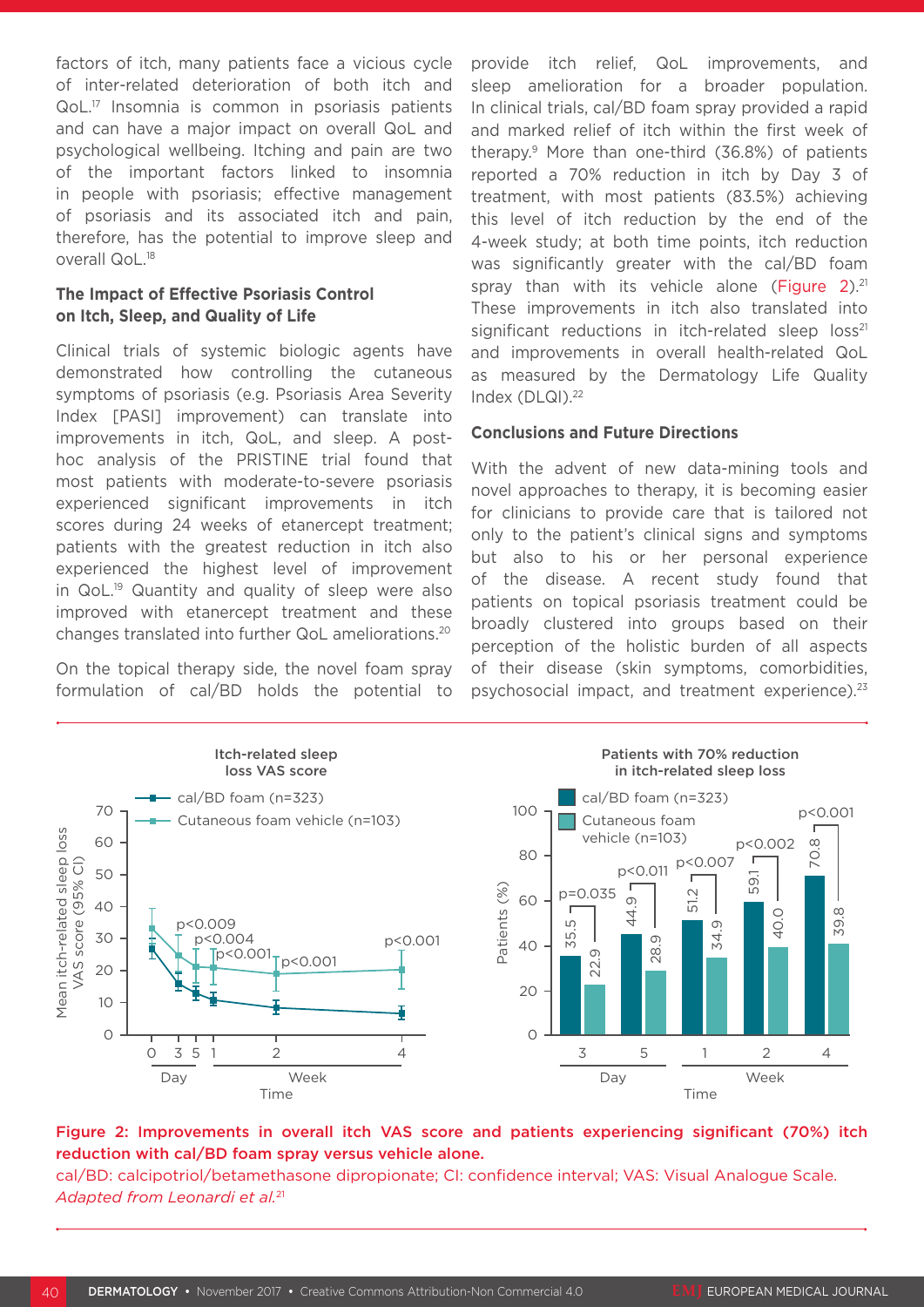factors of itch, many patients face a vicious cycle of inter-related deterioration of both itch and QoL.17 Insomnia is common in psoriasis patients and can have a major impact on overall QoL and psychological wellbeing. Itching and pain are two of the important factors linked to insomnia in people with psoriasis; effective management of psoriasis and its associated itch and pain, therefore, has the potential to improve sleep and overall QoL.18

### **The Impact of Effective Psoriasis Control on Itch, Sleep, and Quality of Life**

Clinical trials of systemic biologic agents have demonstrated how controlling the cutaneous symptoms of psoriasis (e.g. Psoriasis Area Severity Index [PASI] improvement) can translate into improvements in itch, QoL, and sleep. A posthoc analysis of the PRISTINE trial found that most patients with moderate-to-severe psoriasis experienced significant improvements in itch scores during 24 weeks of etanercept treatment; patients with the greatest reduction in itch also experienced the highest level of improvement in QoL.19 Quantity and quality of sleep were also improved with etanercept treatment and these changes translated into further QoL ameliorations.20

On the topical therapy side, the novel foam spray formulation of cal/BD holds the potential to provide itch relief, QoL improvements, and sleep amelioration for a broader population. In clinical trials, cal/BD foam spray provided a rapid and marked relief of itch within the first week of therapy.9 More than one-third (36.8%) of patients reported a 70% reduction in itch by Day 3 of treatment, with most patients (83.5%) achieving this level of itch reduction by the end of the 4-week study; at both time points, itch reduction was significantly greater with the cal/BD foam spray than with its vehicle alone (Figure 2). $21$ These improvements in itch also translated into significant reductions in itch-related sleep  $loss^{21}$ and improvements in overall health-related QoL as measured by the Dermatology Life Quality Index (DLQI).<sup>22</sup>

### **Conclusions and Future Directions**

With the advent of new data-mining tools and novel approaches to therapy, it is becoming easier for clinicians to provide care that is tailored not only to the patient's clinical signs and symptoms but also to his or her personal experience of the disease. A recent study found that patients on topical psoriasis treatment could be broadly clustered into groups based on their perception of the holistic burden of all aspects of their disease (skin symptoms, comorbidities, psychosocial impact, and treatment experience).23



### Figure 2: Improvements in overall itch VAS score and patients experiencing significant (70%) itch reduction with cal/BD foam spray versus vehicle alone.

cal/BD: calcipotriol/betamethasone dipropionate; CI: confidence interval; VAS: Visual Analogue Scale. *Adapted from Leonardi et al.*21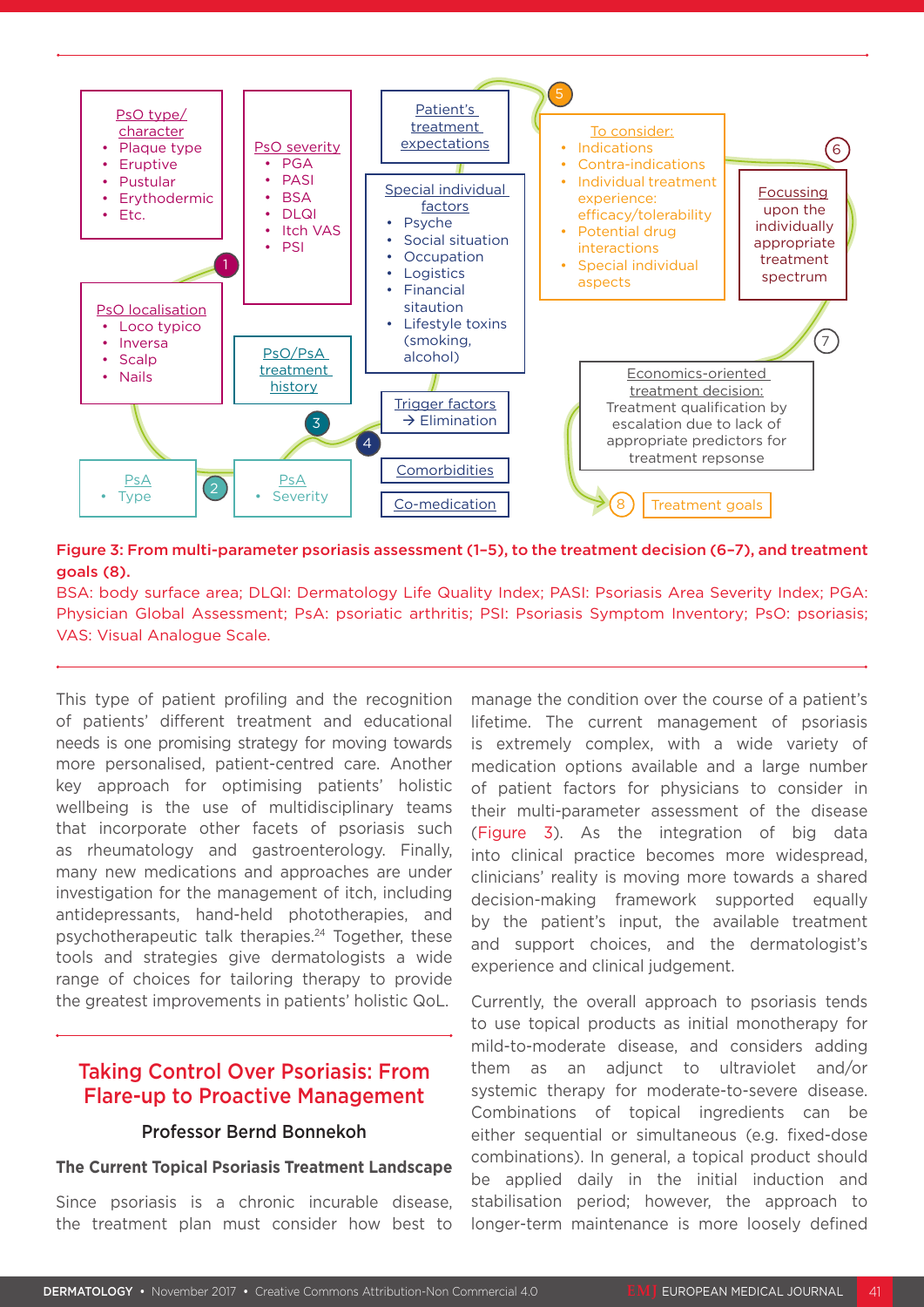

Figure 3: From multi-parameter psoriasis assessment (1–5), to the treatment decision (6–7), and treatment goals (8).

BSA: body surface area; DLQI: Dermatology Life Quality Index; PASI: Psoriasis Area Severity Index; PGA: Physician Global Assessment; PsA: psoriatic arthritis; PSI: Psoriasis Symptom Inventory; PsO: psoriasis; VAS: Visual Analogue Scale.

This type of patient profiling and the recognition of patients' different treatment and educational needs is one promising strategy for moving towards more personalised, patient-centred care. Another key approach for optimising patients' holistic wellbeing is the use of multidisciplinary teams that incorporate other facets of psoriasis such as rheumatology and gastroenterology. Finally, many new medications and approaches are under investigation for the management of itch, including antidepressants, hand-held phototherapies, and psychotherapeutic talk therapies.24 Together, these tools and strategies give dermatologists a wide range of choices for tailoring therapy to provide the greatest improvements in patients' holistic QoL.

### Taking Control Over Psoriasis: From Flare-up to Proactive Management

### Professor Bernd Bonnekoh

#### **The Current Topical Psoriasis Treatment Landscape**

Since psoriasis is a chronic incurable disease, the treatment plan must consider how best to manage the condition over the course of a patient's lifetime. The current management of psoriasis is extremely complex, with a wide variety of medication options available and a large number of patient factors for physicians to consider in their multi-parameter assessment of the disease (Figure 3). As the integration of big data into clinical practice becomes more widespread, clinicians' reality is moving more towards a shared decision-making framework supported equally by the patient's input, the available treatment and support choices, and the dermatologist's experience and clinical judgement.

Currently, the overall approach to psoriasis tends to use topical products as initial monotherapy for mild-to-moderate disease, and considers adding them as an adjunct to ultraviolet and/or systemic therapy for moderate-to-severe disease. Combinations of topical ingredients can be either sequential or simultaneous (e.g. fixed-dose combinations). In general, a topical product should be applied daily in the initial induction and stabilisation period; however, the approach to longer-term maintenance is more loosely defined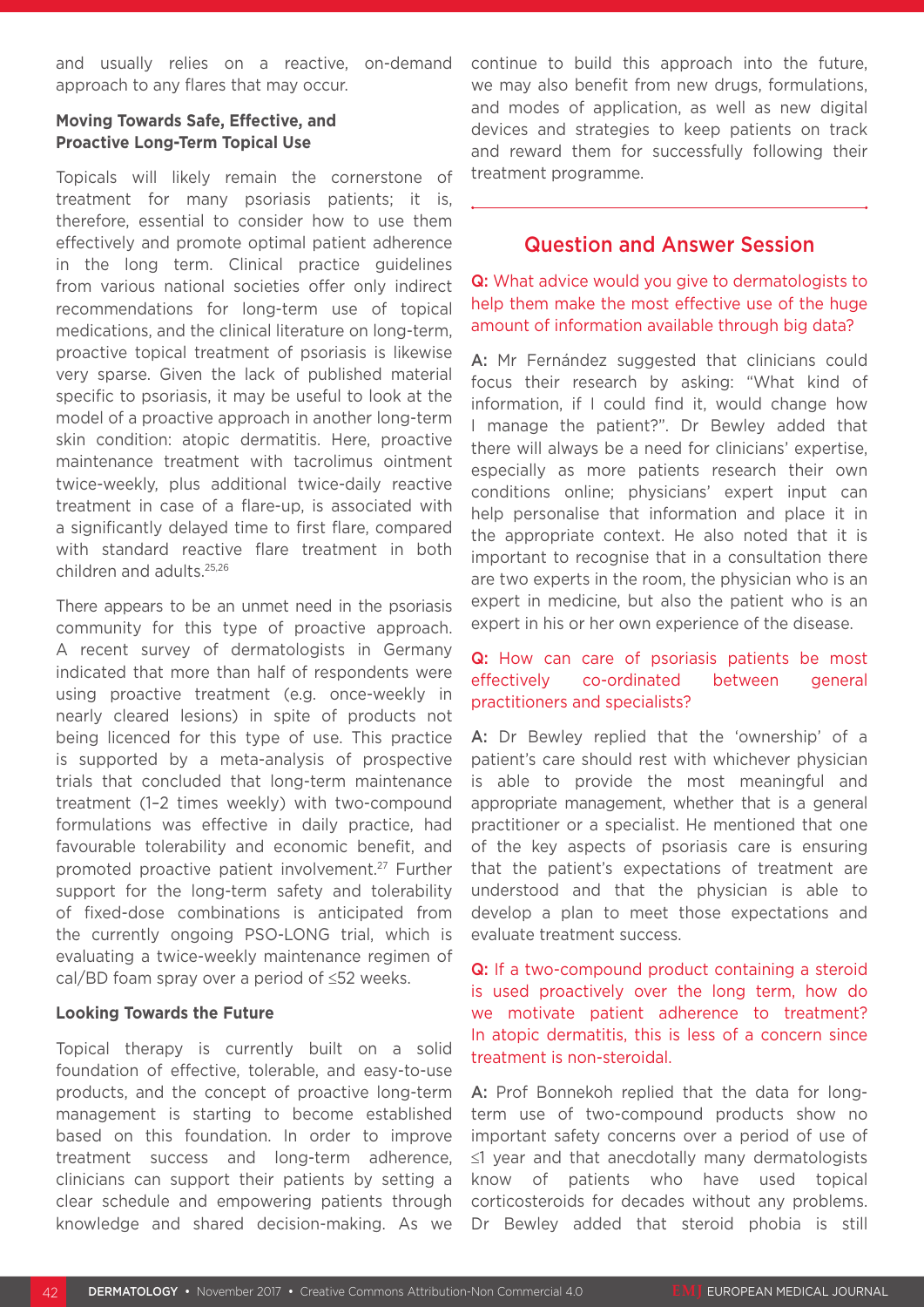and usually relies on a reactive, on-demand approach to any flares that may occur.

### **Moving Towards Safe, Effective, and Proactive Long-Term Topical Use**

Topicals will likely remain the cornerstone of treatment for many psoriasis patients; it is, therefore, essential to consider how to use them effectively and promote optimal patient adherence in the long term. Clinical practice guidelines from various national societies offer only indirect recommendations for long-term use of topical medications, and the clinical literature on long-term, proactive topical treatment of psoriasis is likewise very sparse. Given the lack of published material specific to psoriasis, it may be useful to look at the model of a proactive approach in another long-term skin condition: atopic dermatitis. Here, proactive maintenance treatment with tacrolimus ointment twice-weekly, plus additional twice-daily reactive treatment in case of a flare-up, is associated with a significantly delayed time to first flare, compared with standard reactive flare treatment in both children and adults.25,26

There appears to be an unmet need in the psoriasis community for this type of proactive approach. A recent survey of dermatologists in Germany indicated that more than half of respondents were using proactive treatment (e.g. once-weekly in nearly cleared lesions) in spite of products not being licenced for this type of use. This practice is supported by a meta-analysis of prospective trials that concluded that long-term maintenance treatment (1–2 times weekly) with two-compound formulations was effective in daily practice, had favourable tolerability and economic benefit, and promoted proactive patient involvement.27 Further support for the long-term safety and tolerability of fixed-dose combinations is anticipated from the currently ongoing PSO-LONG trial, which is evaluating a twice-weekly maintenance regimen of cal/BD foam spray over a period of ≤52 weeks.

### **Looking Towards the Future**

Topical therapy is currently built on a solid foundation of effective, tolerable, and easy-to-use products, and the concept of proactive long-term management is starting to become established based on this foundation. In order to improve treatment success and long-term adherence, clinicians can support their patients by setting a clear schedule and empowering patients through knowledge and shared decision-making. As we

continue to build this approach into the future, we may also benefit from new drugs, formulations, and modes of application, as well as new digital devices and strategies to keep patients on track and reward them for successfully following their treatment programme.

### Question and Answer Session

Q: What advice would you give to dermatologists to help them make the most effective use of the huge amount of information available through big data?

A: Mr Fernández suggested that clinicians could focus their research by asking: "What kind of information, if I could find it, would change how I manage the patient?". Dr Bewley added that there will always be a need for clinicians' expertise, especially as more patients research their own conditions online; physicians' expert input can help personalise that information and place it in the appropriate context. He also noted that it is important to recognise that in a consultation there are two experts in the room, the physician who is an expert in medicine, but also the patient who is an expert in his or her own experience of the disease.

### Q: How can care of psoriasis patients be most effectively co-ordinated between general practitioners and specialists?

A: Dr Bewley replied that the 'ownership' of a patient's care should rest with whichever physician is able to provide the most meaningful and appropriate management, whether that is a general practitioner or a specialist. He mentioned that one of the key aspects of psoriasis care is ensuring that the patient's expectations of treatment are understood and that the physician is able to develop a plan to meet those expectations and evaluate treatment success.

Q: If a two-compound product containing a steroid is used proactively over the long term, how do we motivate patient adherence to treatment? In atopic dermatitis, this is less of a concern since treatment is non-steroidal.

A: Prof Bonnekoh replied that the data for longterm use of two-compound products show no important safety concerns over a period of use of ≤1 year and that anecdotally many dermatologists know of patients who have used topical corticosteroids for decades without any problems. Dr Bewley added that steroid phobia is still